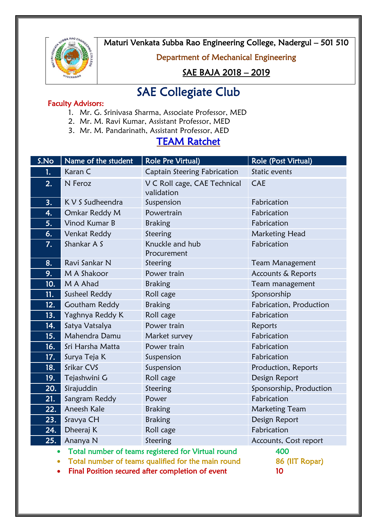

Maturi Venkata Subba Rao Engineering College, Nadergul – 501 510

### Department of Mechanical Engineering

## SAE BAJA 2018 – 2019

# SAE Collegiate Club

#### Faculty Advisors:

- 1. Mr. G. Srinivasa Sharma, Associate Professor, MED
- 2. Mr. M. Ravi Kumar, Assistant Professor, MED
- 3. Mr. M. Pandarinath, Assistant Professor, AED

# TEAM Ratchet

| S.No                                                            | Name of the student  | <b>Role Pre Virtual)</b>                   | Role (Post Virtual)     |
|-----------------------------------------------------------------|----------------------|--------------------------------------------|-------------------------|
| 1.                                                              | Karan C              | Captain Steering Fabrication               | Static events           |
| 2.                                                              | N Feroz              | V C Roll cage, CAE Technical<br>validation | <b>CAE</b>              |
| 3.                                                              | K V S Sudheendra     | Suspension                                 | Fabrication             |
| 4.                                                              | Omkar Reddy M        | Powertrain                                 | Fabrication             |
| 5.                                                              | Vinod Kumar B        | Braking                                    | Fabrication             |
| 6.                                                              | Venkat Reddy         | Steering                                   | Marketing Head          |
| 7.                                                              | Shankar A S          | Knuckle and hub<br>Procurement             | Fabrication             |
| 8.                                                              | Ravi Sankar N        | Steering                                   | <b>Team Management</b>  |
| 9.                                                              | M A Shakoor          | Power train                                | Accounts & Reports      |
| 10.                                                             | M A Ahad             | <b>Braking</b>                             | Team management         |
| 11.                                                             | Susheel Reddy        | Roll cage                                  | Sponsorship             |
| 12.                                                             | <b>Goutham Reddy</b> | <b>Braking</b>                             | Fabrication, Production |
| 13.                                                             | Yaghnya Reddy K      | Roll cage                                  | Fabrication             |
| 14.                                                             | Satya Vatsalya       | Power train                                | Reports                 |
| 15.                                                             | Mahendra Damu        | Market survey                              | Fabrication             |
| 16.                                                             | Sri Harsha Matta     | Power train                                | Fabrication             |
| 17.                                                             | Surya Teja K         | Suspension                                 | Fabrication             |
| 18.                                                             | Srikar CVS           | Suspension                                 | Production, Reports     |
| 19.                                                             | Tejashwini G         | Roll cage                                  | Design Report           |
| 20.                                                             | Sirajuddin           | Steering                                   | Sponsorship, Production |
| 21.                                                             | Sangram Reddy        | Power                                      | Fabrication             |
| 22.                                                             | Aneesh Kale          | <b>Braking</b>                             | <b>Marketing Team</b>   |
| 23.                                                             | Sravya CH            | <b>Braking</b>                             | Design Report           |
| 24.                                                             | Dheeraj K            | Roll cage                                  | Fabrication             |
| 25.                                                             | Ananya N             | Steering                                   | Accounts, Cost report   |
| Total number of teams registered for Virtual round<br>$\bullet$ |                      |                                            | 400                     |

• Total number of teams qualified for the main round 86 (IIT Ropar)

• Final Position secured after completion of event 10